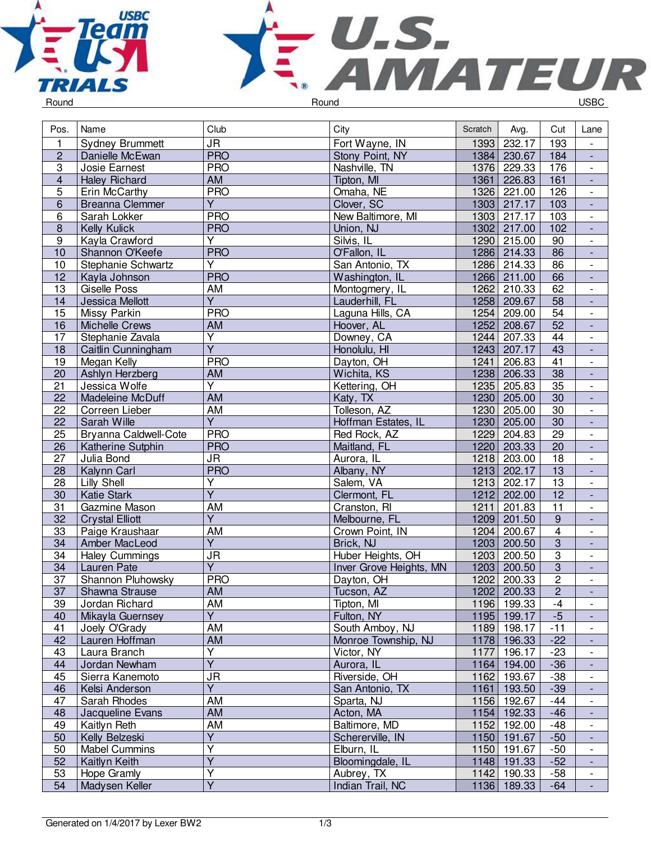



| $\overline{\mathsf{J}\mathsf{R}}$<br>Fort Wayne, IN<br>232.17<br>193<br>1<br>1393<br><b>Sydney Brummett</b><br><b>PRO</b><br>$\overline{2}$<br>1384 230.67<br>184<br>Danielle McEwan<br>Stony Point, NY<br>$\overline{\phantom{a}}$<br>$\overline{3}$<br><b>PRO</b><br>176<br>Nashville, TN<br>1376 229.33<br>Josie Earnest<br>$\overline{\phantom{a}}$<br>$\overline{\mathbf{4}}$<br><b>AM</b><br>1361 226.83<br>161<br><b>Haley Richard</b><br>Tipton, MI<br>$\overline{\phantom{a}}$<br>5<br><b>PRO</b><br>Omaha, NE<br>Erin McCarthy<br>1326 221.00<br>126<br>$\overline{\phantom{a}}$<br>$\overline{Y}$<br>6<br>Clover, SC<br>1303 217.17<br>103<br><b>Breanna Clemmer</b><br>$\Box$<br><b>PRO</b><br>1303 217.17<br>$\frac{103}{2}$<br>6<br>Sarah Lokker<br>New Baltimore, MI<br>$\overline{\phantom{a}}$<br><b>PRO</b><br>1302 217.00<br>102<br>$\bf 8$<br>Kelly Kulick<br>Union, NJ<br>$\overline{\phantom{a}}$<br>$\overline{Y}$<br>Silvis, IL<br>1290 215.00<br>$\boldsymbol{9}$<br>90<br>Kayla Crawford<br>$\overline{\phantom{a}}$<br>Shannon O'Keefe<br><b>PRO</b><br>O'Fallon, IL<br>1286 214.33<br>86<br>10<br>$\overline{\phantom{a}}$<br>Y<br>1286 214.33<br>86<br>10<br>Stephanie Schwartz<br>San Antonio, TX<br>$\blacksquare$<br><b>PRO</b><br>66<br>1266 211.00<br>12<br>Kayla Johnson<br>Washington, IL<br>$\overline{\phantom{a}}$<br>$\overline{13}$<br><b>AM</b><br>62<br>1262<br>210.33<br>Giselle Poss<br>Montogmery, IL<br>$\overline{\phantom{a}}$<br>$\overline{Y}$<br>$\overline{58}$<br>1258<br>14<br>209.67<br>Jessica Mellott<br>Lauderhill, FL<br>$\overline{\phantom{a}}$<br>Missy Parkin<br><b>PRO</b><br>1254<br>209.00<br>54<br>15<br>Laguna Hills, CA<br>$\overline{\phantom{a}}$<br>$\overline{52}$<br>AM<br>1252 208.67<br>16<br>Michelle Crews<br>Hoover, AL<br>$\Box$<br>$\overline{Y}$<br>17<br>Stephanie Zavala<br>Downey, CA<br>1244 207.33<br>44<br>$\Box$<br>$\overline{\mathsf{Y}}$<br>1243 207.17<br>43<br>18<br>Caitlin Cunningham<br>Honolulu, HI<br>$\blacksquare$<br><b>PRO</b><br>41<br>19<br>Megan Kelly<br>Dayton, OH<br>1241<br>206.83<br>$\overline{\phantom{a}}$<br>38<br>Ashlyn Herzberg<br>AM<br>1238 206.33<br>20<br>Wichita, KS<br>$\overline{\phantom{a}}$<br>$\overline{\mathsf{Y}}$<br>1235 205.83<br>$\overline{35}$<br>21<br>Jessica Wolfe<br>Kettering, OH<br>$\overline{\phantom{a}}$<br><b>AM</b><br>30<br>22<br>1230 205.00<br>Madeleine McDuff<br>Katy, TX<br>$\frac{1}{2}$<br><b>AM</b><br>$\overline{30}$<br>22<br>Tolleson, AZ<br>1230 205.00<br>Correen Lieber<br>$\overline{\phantom{a}}$<br>$\overline{Y}$<br>$\overline{30}$<br>1230 205.00<br>22<br>Sarah Wille<br>Hoffman Estates, IL<br>$\blacksquare$<br><b>PRO</b><br>1229 204.83<br>25<br>Bryanna Caldwell-Cote<br>29<br>Red Rock, AZ<br>$\overline{\phantom{a}}$<br><b>PRO</b><br>1220 203.33<br>$\overline{20}$<br>26<br>Katherine Sutphin<br>Maitland, FL<br>$\Box$<br><b>JR</b><br>18<br>27<br>Julia Bond<br>Aurora, IL<br>1218 203.00<br>$\overline{\phantom{a}}$<br><b>PRO</b><br>$\overline{28}$<br>Albany, NY<br>1213 202.17<br>13<br>Kalynn Carl<br>÷,<br>Y<br>1213<br>$\overline{13}$<br>28<br>Lilly Shell<br>Salem, VA<br>202.17<br>$\overline{\phantom{0}}$<br>$\overline{Y}$<br><b>Katie Stark</b><br>Clermont, FL<br>1212<br>202.00<br>12<br>30<br>$\overline{\phantom{a}}$<br><b>AM</b><br>$\overline{11}$<br>31<br>1211<br>201.83<br>Gazmine Mason<br>Cranston, RI<br>$\frac{1}{2}$<br>$\overline{Y}$<br>$\overline{9}$<br>32<br>1209 201.50<br><b>Crystal Elliott</b><br>Melbourne, FL<br>$\overline{\phantom{a}}$<br>$\overline{4}$<br>$\overline{33}$<br><b>AM</b><br>1204<br>Paige Kraushaar<br>Crown Point, IN<br>200.67<br>$\overline{\phantom{a}}$<br>$\overline{3}$<br>$\overline{Y}$<br>1203<br>34<br>200.50<br>Amber MacLeod<br>Brick, NJ<br>$\blacksquare$<br>$\overline{3}$<br>$\overline{\mathsf{J}\mathsf{R}}$<br>Haley Cummings<br>Huber Heights, OH<br>1203 200.50<br>34<br>$\overline{\phantom{a}}$<br>$\overline{Y}$<br>$\overline{3}$<br>1203 200.50<br>34<br>Lauren Pate<br>Inver Grove Heights, MN<br>$\Box$<br>$\overline{2}$<br><b>PRO</b><br>37<br>Shannon Pluhowsky<br>1202<br>200.33<br>Dayton, OH<br>$\blacksquare$<br>$\overline{2}$<br>$\overline{37}$<br><b>AM</b><br>1202 200.33<br>Shawna Strause<br>Tucson, AZ<br>$\overline{a}$<br>39<br>Jordan Richard<br>AM<br>Tipton, MI<br>1196 199.33<br>-4<br>$\overline{\phantom{a}}$<br>$\overline{Y}$<br>$-5$<br>Fulton, NY<br>40<br>Mikayla Guernsey<br>1195 199.17<br>$\overline{\phantom{a}}$<br>41<br>$-11$<br>AM<br>1189 198.17<br>Joely O'Grady<br>South Amboy, NJ<br>$\overline{\phantom{0}}$<br>AM<br>42<br>Monroe Township, NJ<br>Lauren Hoffman<br>1178 196.33<br>$-22$<br>$\overline{Y}$<br>43<br>Laura Branch<br>Victor, NY<br>1177 196.17<br>$-23$<br>$\overline{\phantom{a}}$<br>$\overline{Y}$<br>1164 194.00<br>$-36$<br>44<br>Jordan Newham<br>Aurora, IL<br>٠<br>45<br><b>JR</b><br>Riverside, OH<br>1162 193.67<br>$-38$<br>Sierra Kanemoto<br>$\overline{\phantom{0}}$<br>$\overline{Y}$<br>$-39$<br>46<br>San Antonio, TX<br>1161 193.50<br>Kelsi Anderson<br>$\blacksquare$<br>47<br>Sarah Rhodes<br>Sparta, NJ<br>1156 192.67<br>$-44$<br>AM<br>$\frac{1}{2}$<br>AM<br>48<br>Jacqueline Evans<br>Acton, MA<br>1154 192.33<br>$-46$<br>$\blacksquare$<br>Baltimore, MD<br>Kaitlyn Reth<br>AM<br>1152 192.00<br>$-48$<br>49<br>$\overline{\phantom{a}}$<br>Y<br>50<br>Kelly Belzeski<br>1150 191.67<br>$-50$<br>Schererville, IN<br>$\overline{\phantom{a}}$<br>Υ<br>50<br><b>Mabel Cummins</b><br>Elburn, IL<br>1150 191.67<br>$-50$<br>$\overline{\phantom{0}}$<br>$\overline{\mathsf{Y}}$<br>52<br>Bloomingdale, IL<br>$-52$<br>Kaitlyn Keith<br>1148 191.33<br>٠<br>$\overline{Y}$<br>53<br>Hope Gramly<br>Aubrey, TX<br>1142 190.33<br>$-58$<br>$\overline{\phantom{a}}$<br>$\overline{Y}$<br>Indian Trail, NC<br>54<br>Madysen Keller<br>1136 189.33<br>$-64$ | Pos. | Name | Club | City | Scratch | Avg. | Cut | Lane |
|-----------------------------------------------------------------------------------------------------------------------------------------------------------------------------------------------------------------------------------------------------------------------------------------------------------------------------------------------------------------------------------------------------------------------------------------------------------------------------------------------------------------------------------------------------------------------------------------------------------------------------------------------------------------------------------------------------------------------------------------------------------------------------------------------------------------------------------------------------------------------------------------------------------------------------------------------------------------------------------------------------------------------------------------------------------------------------------------------------------------------------------------------------------------------------------------------------------------------------------------------------------------------------------------------------------------------------------------------------------------------------------------------------------------------------------------------------------------------------------------------------------------------------------------------------------------------------------------------------------------------------------------------------------------------------------------------------------------------------------------------------------------------------------------------------------------------------------------------------------------------------------------------------------------------------------------------------------------------------------------------------------------------------------------------------------------------------------------------------------------------------------------------------------------------------------------------------------------------------------------------------------------------------------------------------------------------------------------------------------------------------------------------------------------------------------------------------------------------------------------------------------------------------------------------------------------------------------------------------------------------------------------------------------------------------------------------------------------------------------------------------------------------------------------------------------------------------------------------------------------------------------------------------------------------------------------------------------------------------------------------------------------------------------------------------------------------------------------------------------------------------------------------------------------------------------------------------------------------------------------------------------------------------------------------------------------------------------------------------------------------------------------------------------------------------------------------------------------------------------------------------------------------------------------------------------------------------------------------------------------------------------------------------------------------------------------------------------------------------------------------------------------------------------------------------------------------------------------------------------------------------------------------------------------------------------------------------------------------------------------------------------------------------------------------------------------------------------------------------------------------------------------------------------------------------------------------------------------------------------------------------------------------------------------------------------------------------------------------------------------------------------------------------------------------------------------------------------------------------------------------------------------------------------------------------------------------------------------------------------------------------------------------------------------------------------------------------------------------------------------------------------------------------------------------------------------------------------------------------------------------------------------------------------------------------------------------------------------------------------------------------------------------------------------------------------------------------------------------------------------------------------------------------------------------------------------------------------------------------------------------------------------------------------------------------------------------------------------------------------------------------------------------------------------------------------------------------------------------------------------------------------------------------------------------------------------------------------------------------------------------------------------------------------------------------------------------------------------------------------------------------------------------------------------------------------------------------------------------------------------------------------------------------------------------------|------|------|------|------|---------|------|-----|------|
|                                                                                                                                                                                                                                                                                                                                                                                                                                                                                                                                                                                                                                                                                                                                                                                                                                                                                                                                                                                                                                                                                                                                                                                                                                                                                                                                                                                                                                                                                                                                                                                                                                                                                                                                                                                                                                                                                                                                                                                                                                                                                                                                                                                                                                                                                                                                                                                                                                                                                                                                                                                                                                                                                                                                                                                                                                                                                                                                                                                                                                                                                                                                                                                                                                                                                                                                                                                                                                                                                                                                                                                                                                                                                                                                                                                                                                                                                                                                                                                                                                                                                                                                                                                                                                                                                                                                                                                                                                                                                                                                                                                                                                                                                                                                                                                                                                                                                                                                                                                                                                                                                                                                                                                                                                                                                                                                                                                                                                                                                                                                                                                                                                                                                                                                                                                                                                                                                                                             |      |      |      |      |         |      |     |      |
|                                                                                                                                                                                                                                                                                                                                                                                                                                                                                                                                                                                                                                                                                                                                                                                                                                                                                                                                                                                                                                                                                                                                                                                                                                                                                                                                                                                                                                                                                                                                                                                                                                                                                                                                                                                                                                                                                                                                                                                                                                                                                                                                                                                                                                                                                                                                                                                                                                                                                                                                                                                                                                                                                                                                                                                                                                                                                                                                                                                                                                                                                                                                                                                                                                                                                                                                                                                                                                                                                                                                                                                                                                                                                                                                                                                                                                                                                                                                                                                                                                                                                                                                                                                                                                                                                                                                                                                                                                                                                                                                                                                                                                                                                                                                                                                                                                                                                                                                                                                                                                                                                                                                                                                                                                                                                                                                                                                                                                                                                                                                                                                                                                                                                                                                                                                                                                                                                                                             |      |      |      |      |         |      |     |      |
|                                                                                                                                                                                                                                                                                                                                                                                                                                                                                                                                                                                                                                                                                                                                                                                                                                                                                                                                                                                                                                                                                                                                                                                                                                                                                                                                                                                                                                                                                                                                                                                                                                                                                                                                                                                                                                                                                                                                                                                                                                                                                                                                                                                                                                                                                                                                                                                                                                                                                                                                                                                                                                                                                                                                                                                                                                                                                                                                                                                                                                                                                                                                                                                                                                                                                                                                                                                                                                                                                                                                                                                                                                                                                                                                                                                                                                                                                                                                                                                                                                                                                                                                                                                                                                                                                                                                                                                                                                                                                                                                                                                                                                                                                                                                                                                                                                                                                                                                                                                                                                                                                                                                                                                                                                                                                                                                                                                                                                                                                                                                                                                                                                                                                                                                                                                                                                                                                                                             |      |      |      |      |         |      |     |      |
|                                                                                                                                                                                                                                                                                                                                                                                                                                                                                                                                                                                                                                                                                                                                                                                                                                                                                                                                                                                                                                                                                                                                                                                                                                                                                                                                                                                                                                                                                                                                                                                                                                                                                                                                                                                                                                                                                                                                                                                                                                                                                                                                                                                                                                                                                                                                                                                                                                                                                                                                                                                                                                                                                                                                                                                                                                                                                                                                                                                                                                                                                                                                                                                                                                                                                                                                                                                                                                                                                                                                                                                                                                                                                                                                                                                                                                                                                                                                                                                                                                                                                                                                                                                                                                                                                                                                                                                                                                                                                                                                                                                                                                                                                                                                                                                                                                                                                                                                                                                                                                                                                                                                                                                                                                                                                                                                                                                                                                                                                                                                                                                                                                                                                                                                                                                                                                                                                                                             |      |      |      |      |         |      |     |      |
|                                                                                                                                                                                                                                                                                                                                                                                                                                                                                                                                                                                                                                                                                                                                                                                                                                                                                                                                                                                                                                                                                                                                                                                                                                                                                                                                                                                                                                                                                                                                                                                                                                                                                                                                                                                                                                                                                                                                                                                                                                                                                                                                                                                                                                                                                                                                                                                                                                                                                                                                                                                                                                                                                                                                                                                                                                                                                                                                                                                                                                                                                                                                                                                                                                                                                                                                                                                                                                                                                                                                                                                                                                                                                                                                                                                                                                                                                                                                                                                                                                                                                                                                                                                                                                                                                                                                                                                                                                                                                                                                                                                                                                                                                                                                                                                                                                                                                                                                                                                                                                                                                                                                                                                                                                                                                                                                                                                                                                                                                                                                                                                                                                                                                                                                                                                                                                                                                                                             |      |      |      |      |         |      |     |      |
|                                                                                                                                                                                                                                                                                                                                                                                                                                                                                                                                                                                                                                                                                                                                                                                                                                                                                                                                                                                                                                                                                                                                                                                                                                                                                                                                                                                                                                                                                                                                                                                                                                                                                                                                                                                                                                                                                                                                                                                                                                                                                                                                                                                                                                                                                                                                                                                                                                                                                                                                                                                                                                                                                                                                                                                                                                                                                                                                                                                                                                                                                                                                                                                                                                                                                                                                                                                                                                                                                                                                                                                                                                                                                                                                                                                                                                                                                                                                                                                                                                                                                                                                                                                                                                                                                                                                                                                                                                                                                                                                                                                                                                                                                                                                                                                                                                                                                                                                                                                                                                                                                                                                                                                                                                                                                                                                                                                                                                                                                                                                                                                                                                                                                                                                                                                                                                                                                                                             |      |      |      |      |         |      |     |      |
|                                                                                                                                                                                                                                                                                                                                                                                                                                                                                                                                                                                                                                                                                                                                                                                                                                                                                                                                                                                                                                                                                                                                                                                                                                                                                                                                                                                                                                                                                                                                                                                                                                                                                                                                                                                                                                                                                                                                                                                                                                                                                                                                                                                                                                                                                                                                                                                                                                                                                                                                                                                                                                                                                                                                                                                                                                                                                                                                                                                                                                                                                                                                                                                                                                                                                                                                                                                                                                                                                                                                                                                                                                                                                                                                                                                                                                                                                                                                                                                                                                                                                                                                                                                                                                                                                                                                                                                                                                                                                                                                                                                                                                                                                                                                                                                                                                                                                                                                                                                                                                                                                                                                                                                                                                                                                                                                                                                                                                                                                                                                                                                                                                                                                                                                                                                                                                                                                                                             |      |      |      |      |         |      |     |      |
|                                                                                                                                                                                                                                                                                                                                                                                                                                                                                                                                                                                                                                                                                                                                                                                                                                                                                                                                                                                                                                                                                                                                                                                                                                                                                                                                                                                                                                                                                                                                                                                                                                                                                                                                                                                                                                                                                                                                                                                                                                                                                                                                                                                                                                                                                                                                                                                                                                                                                                                                                                                                                                                                                                                                                                                                                                                                                                                                                                                                                                                                                                                                                                                                                                                                                                                                                                                                                                                                                                                                                                                                                                                                                                                                                                                                                                                                                                                                                                                                                                                                                                                                                                                                                                                                                                                                                                                                                                                                                                                                                                                                                                                                                                                                                                                                                                                                                                                                                                                                                                                                                                                                                                                                                                                                                                                                                                                                                                                                                                                                                                                                                                                                                                                                                                                                                                                                                                                             |      |      |      |      |         |      |     |      |
|                                                                                                                                                                                                                                                                                                                                                                                                                                                                                                                                                                                                                                                                                                                                                                                                                                                                                                                                                                                                                                                                                                                                                                                                                                                                                                                                                                                                                                                                                                                                                                                                                                                                                                                                                                                                                                                                                                                                                                                                                                                                                                                                                                                                                                                                                                                                                                                                                                                                                                                                                                                                                                                                                                                                                                                                                                                                                                                                                                                                                                                                                                                                                                                                                                                                                                                                                                                                                                                                                                                                                                                                                                                                                                                                                                                                                                                                                                                                                                                                                                                                                                                                                                                                                                                                                                                                                                                                                                                                                                                                                                                                                                                                                                                                                                                                                                                                                                                                                                                                                                                                                                                                                                                                                                                                                                                                                                                                                                                                                                                                                                                                                                                                                                                                                                                                                                                                                                                             |      |      |      |      |         |      |     |      |
|                                                                                                                                                                                                                                                                                                                                                                                                                                                                                                                                                                                                                                                                                                                                                                                                                                                                                                                                                                                                                                                                                                                                                                                                                                                                                                                                                                                                                                                                                                                                                                                                                                                                                                                                                                                                                                                                                                                                                                                                                                                                                                                                                                                                                                                                                                                                                                                                                                                                                                                                                                                                                                                                                                                                                                                                                                                                                                                                                                                                                                                                                                                                                                                                                                                                                                                                                                                                                                                                                                                                                                                                                                                                                                                                                                                                                                                                                                                                                                                                                                                                                                                                                                                                                                                                                                                                                                                                                                                                                                                                                                                                                                                                                                                                                                                                                                                                                                                                                                                                                                                                                                                                                                                                                                                                                                                                                                                                                                                                                                                                                                                                                                                                                                                                                                                                                                                                                                                             |      |      |      |      |         |      |     |      |
|                                                                                                                                                                                                                                                                                                                                                                                                                                                                                                                                                                                                                                                                                                                                                                                                                                                                                                                                                                                                                                                                                                                                                                                                                                                                                                                                                                                                                                                                                                                                                                                                                                                                                                                                                                                                                                                                                                                                                                                                                                                                                                                                                                                                                                                                                                                                                                                                                                                                                                                                                                                                                                                                                                                                                                                                                                                                                                                                                                                                                                                                                                                                                                                                                                                                                                                                                                                                                                                                                                                                                                                                                                                                                                                                                                                                                                                                                                                                                                                                                                                                                                                                                                                                                                                                                                                                                                                                                                                                                                                                                                                                                                                                                                                                                                                                                                                                                                                                                                                                                                                                                                                                                                                                                                                                                                                                                                                                                                                                                                                                                                                                                                                                                                                                                                                                                                                                                                                             |      |      |      |      |         |      |     |      |
|                                                                                                                                                                                                                                                                                                                                                                                                                                                                                                                                                                                                                                                                                                                                                                                                                                                                                                                                                                                                                                                                                                                                                                                                                                                                                                                                                                                                                                                                                                                                                                                                                                                                                                                                                                                                                                                                                                                                                                                                                                                                                                                                                                                                                                                                                                                                                                                                                                                                                                                                                                                                                                                                                                                                                                                                                                                                                                                                                                                                                                                                                                                                                                                                                                                                                                                                                                                                                                                                                                                                                                                                                                                                                                                                                                                                                                                                                                                                                                                                                                                                                                                                                                                                                                                                                                                                                                                                                                                                                                                                                                                                                                                                                                                                                                                                                                                                                                                                                                                                                                                                                                                                                                                                                                                                                                                                                                                                                                                                                                                                                                                                                                                                                                                                                                                                                                                                                                                             |      |      |      |      |         |      |     |      |
|                                                                                                                                                                                                                                                                                                                                                                                                                                                                                                                                                                                                                                                                                                                                                                                                                                                                                                                                                                                                                                                                                                                                                                                                                                                                                                                                                                                                                                                                                                                                                                                                                                                                                                                                                                                                                                                                                                                                                                                                                                                                                                                                                                                                                                                                                                                                                                                                                                                                                                                                                                                                                                                                                                                                                                                                                                                                                                                                                                                                                                                                                                                                                                                                                                                                                                                                                                                                                                                                                                                                                                                                                                                                                                                                                                                                                                                                                                                                                                                                                                                                                                                                                                                                                                                                                                                                                                                                                                                                                                                                                                                                                                                                                                                                                                                                                                                                                                                                                                                                                                                                                                                                                                                                                                                                                                                                                                                                                                                                                                                                                                                                                                                                                                                                                                                                                                                                                                                             |      |      |      |      |         |      |     |      |
|                                                                                                                                                                                                                                                                                                                                                                                                                                                                                                                                                                                                                                                                                                                                                                                                                                                                                                                                                                                                                                                                                                                                                                                                                                                                                                                                                                                                                                                                                                                                                                                                                                                                                                                                                                                                                                                                                                                                                                                                                                                                                                                                                                                                                                                                                                                                                                                                                                                                                                                                                                                                                                                                                                                                                                                                                                                                                                                                                                                                                                                                                                                                                                                                                                                                                                                                                                                                                                                                                                                                                                                                                                                                                                                                                                                                                                                                                                                                                                                                                                                                                                                                                                                                                                                                                                                                                                                                                                                                                                                                                                                                                                                                                                                                                                                                                                                                                                                                                                                                                                                                                                                                                                                                                                                                                                                                                                                                                                                                                                                                                                                                                                                                                                                                                                                                                                                                                                                             |      |      |      |      |         |      |     |      |
|                                                                                                                                                                                                                                                                                                                                                                                                                                                                                                                                                                                                                                                                                                                                                                                                                                                                                                                                                                                                                                                                                                                                                                                                                                                                                                                                                                                                                                                                                                                                                                                                                                                                                                                                                                                                                                                                                                                                                                                                                                                                                                                                                                                                                                                                                                                                                                                                                                                                                                                                                                                                                                                                                                                                                                                                                                                                                                                                                                                                                                                                                                                                                                                                                                                                                                                                                                                                                                                                                                                                                                                                                                                                                                                                                                                                                                                                                                                                                                                                                                                                                                                                                                                                                                                                                                                                                                                                                                                                                                                                                                                                                                                                                                                                                                                                                                                                                                                                                                                                                                                                                                                                                                                                                                                                                                                                                                                                                                                                                                                                                                                                                                                                                                                                                                                                                                                                                                                             |      |      |      |      |         |      |     |      |
|                                                                                                                                                                                                                                                                                                                                                                                                                                                                                                                                                                                                                                                                                                                                                                                                                                                                                                                                                                                                                                                                                                                                                                                                                                                                                                                                                                                                                                                                                                                                                                                                                                                                                                                                                                                                                                                                                                                                                                                                                                                                                                                                                                                                                                                                                                                                                                                                                                                                                                                                                                                                                                                                                                                                                                                                                                                                                                                                                                                                                                                                                                                                                                                                                                                                                                                                                                                                                                                                                                                                                                                                                                                                                                                                                                                                                                                                                                                                                                                                                                                                                                                                                                                                                                                                                                                                                                                                                                                                                                                                                                                                                                                                                                                                                                                                                                                                                                                                                                                                                                                                                                                                                                                                                                                                                                                                                                                                                                                                                                                                                                                                                                                                                                                                                                                                                                                                                                                             |      |      |      |      |         |      |     |      |
|                                                                                                                                                                                                                                                                                                                                                                                                                                                                                                                                                                                                                                                                                                                                                                                                                                                                                                                                                                                                                                                                                                                                                                                                                                                                                                                                                                                                                                                                                                                                                                                                                                                                                                                                                                                                                                                                                                                                                                                                                                                                                                                                                                                                                                                                                                                                                                                                                                                                                                                                                                                                                                                                                                                                                                                                                                                                                                                                                                                                                                                                                                                                                                                                                                                                                                                                                                                                                                                                                                                                                                                                                                                                                                                                                                                                                                                                                                                                                                                                                                                                                                                                                                                                                                                                                                                                                                                                                                                                                                                                                                                                                                                                                                                                                                                                                                                                                                                                                                                                                                                                                                                                                                                                                                                                                                                                                                                                                                                                                                                                                                                                                                                                                                                                                                                                                                                                                                                             |      |      |      |      |         |      |     |      |
|                                                                                                                                                                                                                                                                                                                                                                                                                                                                                                                                                                                                                                                                                                                                                                                                                                                                                                                                                                                                                                                                                                                                                                                                                                                                                                                                                                                                                                                                                                                                                                                                                                                                                                                                                                                                                                                                                                                                                                                                                                                                                                                                                                                                                                                                                                                                                                                                                                                                                                                                                                                                                                                                                                                                                                                                                                                                                                                                                                                                                                                                                                                                                                                                                                                                                                                                                                                                                                                                                                                                                                                                                                                                                                                                                                                                                                                                                                                                                                                                                                                                                                                                                                                                                                                                                                                                                                                                                                                                                                                                                                                                                                                                                                                                                                                                                                                                                                                                                                                                                                                                                                                                                                                                                                                                                                                                                                                                                                                                                                                                                                                                                                                                                                                                                                                                                                                                                                                             |      |      |      |      |         |      |     |      |
|                                                                                                                                                                                                                                                                                                                                                                                                                                                                                                                                                                                                                                                                                                                                                                                                                                                                                                                                                                                                                                                                                                                                                                                                                                                                                                                                                                                                                                                                                                                                                                                                                                                                                                                                                                                                                                                                                                                                                                                                                                                                                                                                                                                                                                                                                                                                                                                                                                                                                                                                                                                                                                                                                                                                                                                                                                                                                                                                                                                                                                                                                                                                                                                                                                                                                                                                                                                                                                                                                                                                                                                                                                                                                                                                                                                                                                                                                                                                                                                                                                                                                                                                                                                                                                                                                                                                                                                                                                                                                                                                                                                                                                                                                                                                                                                                                                                                                                                                                                                                                                                                                                                                                                                                                                                                                                                                                                                                                                                                                                                                                                                                                                                                                                                                                                                                                                                                                                                             |      |      |      |      |         |      |     |      |
|                                                                                                                                                                                                                                                                                                                                                                                                                                                                                                                                                                                                                                                                                                                                                                                                                                                                                                                                                                                                                                                                                                                                                                                                                                                                                                                                                                                                                                                                                                                                                                                                                                                                                                                                                                                                                                                                                                                                                                                                                                                                                                                                                                                                                                                                                                                                                                                                                                                                                                                                                                                                                                                                                                                                                                                                                                                                                                                                                                                                                                                                                                                                                                                                                                                                                                                                                                                                                                                                                                                                                                                                                                                                                                                                                                                                                                                                                                                                                                                                                                                                                                                                                                                                                                                                                                                                                                                                                                                                                                                                                                                                                                                                                                                                                                                                                                                                                                                                                                                                                                                                                                                                                                                                                                                                                                                                                                                                                                                                                                                                                                                                                                                                                                                                                                                                                                                                                                                             |      |      |      |      |         |      |     |      |
|                                                                                                                                                                                                                                                                                                                                                                                                                                                                                                                                                                                                                                                                                                                                                                                                                                                                                                                                                                                                                                                                                                                                                                                                                                                                                                                                                                                                                                                                                                                                                                                                                                                                                                                                                                                                                                                                                                                                                                                                                                                                                                                                                                                                                                                                                                                                                                                                                                                                                                                                                                                                                                                                                                                                                                                                                                                                                                                                                                                                                                                                                                                                                                                                                                                                                                                                                                                                                                                                                                                                                                                                                                                                                                                                                                                                                                                                                                                                                                                                                                                                                                                                                                                                                                                                                                                                                                                                                                                                                                                                                                                                                                                                                                                                                                                                                                                                                                                                                                                                                                                                                                                                                                                                                                                                                                                                                                                                                                                                                                                                                                                                                                                                                                                                                                                                                                                                                                                             |      |      |      |      |         |      |     |      |
|                                                                                                                                                                                                                                                                                                                                                                                                                                                                                                                                                                                                                                                                                                                                                                                                                                                                                                                                                                                                                                                                                                                                                                                                                                                                                                                                                                                                                                                                                                                                                                                                                                                                                                                                                                                                                                                                                                                                                                                                                                                                                                                                                                                                                                                                                                                                                                                                                                                                                                                                                                                                                                                                                                                                                                                                                                                                                                                                                                                                                                                                                                                                                                                                                                                                                                                                                                                                                                                                                                                                                                                                                                                                                                                                                                                                                                                                                                                                                                                                                                                                                                                                                                                                                                                                                                                                                                                                                                                                                                                                                                                                                                                                                                                                                                                                                                                                                                                                                                                                                                                                                                                                                                                                                                                                                                                                                                                                                                                                                                                                                                                                                                                                                                                                                                                                                                                                                                                             |      |      |      |      |         |      |     |      |
|                                                                                                                                                                                                                                                                                                                                                                                                                                                                                                                                                                                                                                                                                                                                                                                                                                                                                                                                                                                                                                                                                                                                                                                                                                                                                                                                                                                                                                                                                                                                                                                                                                                                                                                                                                                                                                                                                                                                                                                                                                                                                                                                                                                                                                                                                                                                                                                                                                                                                                                                                                                                                                                                                                                                                                                                                                                                                                                                                                                                                                                                                                                                                                                                                                                                                                                                                                                                                                                                                                                                                                                                                                                                                                                                                                                                                                                                                                                                                                                                                                                                                                                                                                                                                                                                                                                                                                                                                                                                                                                                                                                                                                                                                                                                                                                                                                                                                                                                                                                                                                                                                                                                                                                                                                                                                                                                                                                                                                                                                                                                                                                                                                                                                                                                                                                                                                                                                                                             |      |      |      |      |         |      |     |      |
|                                                                                                                                                                                                                                                                                                                                                                                                                                                                                                                                                                                                                                                                                                                                                                                                                                                                                                                                                                                                                                                                                                                                                                                                                                                                                                                                                                                                                                                                                                                                                                                                                                                                                                                                                                                                                                                                                                                                                                                                                                                                                                                                                                                                                                                                                                                                                                                                                                                                                                                                                                                                                                                                                                                                                                                                                                                                                                                                                                                                                                                                                                                                                                                                                                                                                                                                                                                                                                                                                                                                                                                                                                                                                                                                                                                                                                                                                                                                                                                                                                                                                                                                                                                                                                                                                                                                                                                                                                                                                                                                                                                                                                                                                                                                                                                                                                                                                                                                                                                                                                                                                                                                                                                                                                                                                                                                                                                                                                                                                                                                                                                                                                                                                                                                                                                                                                                                                                                             |      |      |      |      |         |      |     |      |
|                                                                                                                                                                                                                                                                                                                                                                                                                                                                                                                                                                                                                                                                                                                                                                                                                                                                                                                                                                                                                                                                                                                                                                                                                                                                                                                                                                                                                                                                                                                                                                                                                                                                                                                                                                                                                                                                                                                                                                                                                                                                                                                                                                                                                                                                                                                                                                                                                                                                                                                                                                                                                                                                                                                                                                                                                                                                                                                                                                                                                                                                                                                                                                                                                                                                                                                                                                                                                                                                                                                                                                                                                                                                                                                                                                                                                                                                                                                                                                                                                                                                                                                                                                                                                                                                                                                                                                                                                                                                                                                                                                                                                                                                                                                                                                                                                                                                                                                                                                                                                                                                                                                                                                                                                                                                                                                                                                                                                                                                                                                                                                                                                                                                                                                                                                                                                                                                                                                             |      |      |      |      |         |      |     |      |
|                                                                                                                                                                                                                                                                                                                                                                                                                                                                                                                                                                                                                                                                                                                                                                                                                                                                                                                                                                                                                                                                                                                                                                                                                                                                                                                                                                                                                                                                                                                                                                                                                                                                                                                                                                                                                                                                                                                                                                                                                                                                                                                                                                                                                                                                                                                                                                                                                                                                                                                                                                                                                                                                                                                                                                                                                                                                                                                                                                                                                                                                                                                                                                                                                                                                                                                                                                                                                                                                                                                                                                                                                                                                                                                                                                                                                                                                                                                                                                                                                                                                                                                                                                                                                                                                                                                                                                                                                                                                                                                                                                                                                                                                                                                                                                                                                                                                                                                                                                                                                                                                                                                                                                                                                                                                                                                                                                                                                                                                                                                                                                                                                                                                                                                                                                                                                                                                                                                             |      |      |      |      |         |      |     |      |
|                                                                                                                                                                                                                                                                                                                                                                                                                                                                                                                                                                                                                                                                                                                                                                                                                                                                                                                                                                                                                                                                                                                                                                                                                                                                                                                                                                                                                                                                                                                                                                                                                                                                                                                                                                                                                                                                                                                                                                                                                                                                                                                                                                                                                                                                                                                                                                                                                                                                                                                                                                                                                                                                                                                                                                                                                                                                                                                                                                                                                                                                                                                                                                                                                                                                                                                                                                                                                                                                                                                                                                                                                                                                                                                                                                                                                                                                                                                                                                                                                                                                                                                                                                                                                                                                                                                                                                                                                                                                                                                                                                                                                                                                                                                                                                                                                                                                                                                                                                                                                                                                                                                                                                                                                                                                                                                                                                                                                                                                                                                                                                                                                                                                                                                                                                                                                                                                                                                             |      |      |      |      |         |      |     |      |
|                                                                                                                                                                                                                                                                                                                                                                                                                                                                                                                                                                                                                                                                                                                                                                                                                                                                                                                                                                                                                                                                                                                                                                                                                                                                                                                                                                                                                                                                                                                                                                                                                                                                                                                                                                                                                                                                                                                                                                                                                                                                                                                                                                                                                                                                                                                                                                                                                                                                                                                                                                                                                                                                                                                                                                                                                                                                                                                                                                                                                                                                                                                                                                                                                                                                                                                                                                                                                                                                                                                                                                                                                                                                                                                                                                                                                                                                                                                                                                                                                                                                                                                                                                                                                                                                                                                                                                                                                                                                                                                                                                                                                                                                                                                                                                                                                                                                                                                                                                                                                                                                                                                                                                                                                                                                                                                                                                                                                                                                                                                                                                                                                                                                                                                                                                                                                                                                                                                             |      |      |      |      |         |      |     |      |
|                                                                                                                                                                                                                                                                                                                                                                                                                                                                                                                                                                                                                                                                                                                                                                                                                                                                                                                                                                                                                                                                                                                                                                                                                                                                                                                                                                                                                                                                                                                                                                                                                                                                                                                                                                                                                                                                                                                                                                                                                                                                                                                                                                                                                                                                                                                                                                                                                                                                                                                                                                                                                                                                                                                                                                                                                                                                                                                                                                                                                                                                                                                                                                                                                                                                                                                                                                                                                                                                                                                                                                                                                                                                                                                                                                                                                                                                                                                                                                                                                                                                                                                                                                                                                                                                                                                                                                                                                                                                                                                                                                                                                                                                                                                                                                                                                                                                                                                                                                                                                                                                                                                                                                                                                                                                                                                                                                                                                                                                                                                                                                                                                                                                                                                                                                                                                                                                                                                             |      |      |      |      |         |      |     |      |
|                                                                                                                                                                                                                                                                                                                                                                                                                                                                                                                                                                                                                                                                                                                                                                                                                                                                                                                                                                                                                                                                                                                                                                                                                                                                                                                                                                                                                                                                                                                                                                                                                                                                                                                                                                                                                                                                                                                                                                                                                                                                                                                                                                                                                                                                                                                                                                                                                                                                                                                                                                                                                                                                                                                                                                                                                                                                                                                                                                                                                                                                                                                                                                                                                                                                                                                                                                                                                                                                                                                                                                                                                                                                                                                                                                                                                                                                                                                                                                                                                                                                                                                                                                                                                                                                                                                                                                                                                                                                                                                                                                                                                                                                                                                                                                                                                                                                                                                                                                                                                                                                                                                                                                                                                                                                                                                                                                                                                                                                                                                                                                                                                                                                                                                                                                                                                                                                                                                             |      |      |      |      |         |      |     |      |
|                                                                                                                                                                                                                                                                                                                                                                                                                                                                                                                                                                                                                                                                                                                                                                                                                                                                                                                                                                                                                                                                                                                                                                                                                                                                                                                                                                                                                                                                                                                                                                                                                                                                                                                                                                                                                                                                                                                                                                                                                                                                                                                                                                                                                                                                                                                                                                                                                                                                                                                                                                                                                                                                                                                                                                                                                                                                                                                                                                                                                                                                                                                                                                                                                                                                                                                                                                                                                                                                                                                                                                                                                                                                                                                                                                                                                                                                                                                                                                                                                                                                                                                                                                                                                                                                                                                                                                                                                                                                                                                                                                                                                                                                                                                                                                                                                                                                                                                                                                                                                                                                                                                                                                                                                                                                                                                                                                                                                                                                                                                                                                                                                                                                                                                                                                                                                                                                                                                             |      |      |      |      |         |      |     |      |
|                                                                                                                                                                                                                                                                                                                                                                                                                                                                                                                                                                                                                                                                                                                                                                                                                                                                                                                                                                                                                                                                                                                                                                                                                                                                                                                                                                                                                                                                                                                                                                                                                                                                                                                                                                                                                                                                                                                                                                                                                                                                                                                                                                                                                                                                                                                                                                                                                                                                                                                                                                                                                                                                                                                                                                                                                                                                                                                                                                                                                                                                                                                                                                                                                                                                                                                                                                                                                                                                                                                                                                                                                                                                                                                                                                                                                                                                                                                                                                                                                                                                                                                                                                                                                                                                                                                                                                                                                                                                                                                                                                                                                                                                                                                                                                                                                                                                                                                                                                                                                                                                                                                                                                                                                                                                                                                                                                                                                                                                                                                                                                                                                                                                                                                                                                                                                                                                                                                             |      |      |      |      |         |      |     |      |
|                                                                                                                                                                                                                                                                                                                                                                                                                                                                                                                                                                                                                                                                                                                                                                                                                                                                                                                                                                                                                                                                                                                                                                                                                                                                                                                                                                                                                                                                                                                                                                                                                                                                                                                                                                                                                                                                                                                                                                                                                                                                                                                                                                                                                                                                                                                                                                                                                                                                                                                                                                                                                                                                                                                                                                                                                                                                                                                                                                                                                                                                                                                                                                                                                                                                                                                                                                                                                                                                                                                                                                                                                                                                                                                                                                                                                                                                                                                                                                                                                                                                                                                                                                                                                                                                                                                                                                                                                                                                                                                                                                                                                                                                                                                                                                                                                                                                                                                                                                                                                                                                                                                                                                                                                                                                                                                                                                                                                                                                                                                                                                                                                                                                                                                                                                                                                                                                                                                             |      |      |      |      |         |      |     |      |
|                                                                                                                                                                                                                                                                                                                                                                                                                                                                                                                                                                                                                                                                                                                                                                                                                                                                                                                                                                                                                                                                                                                                                                                                                                                                                                                                                                                                                                                                                                                                                                                                                                                                                                                                                                                                                                                                                                                                                                                                                                                                                                                                                                                                                                                                                                                                                                                                                                                                                                                                                                                                                                                                                                                                                                                                                                                                                                                                                                                                                                                                                                                                                                                                                                                                                                                                                                                                                                                                                                                                                                                                                                                                                                                                                                                                                                                                                                                                                                                                                                                                                                                                                                                                                                                                                                                                                                                                                                                                                                                                                                                                                                                                                                                                                                                                                                                                                                                                                                                                                                                                                                                                                                                                                                                                                                                                                                                                                                                                                                                                                                                                                                                                                                                                                                                                                                                                                                                             |      |      |      |      |         |      |     |      |
|                                                                                                                                                                                                                                                                                                                                                                                                                                                                                                                                                                                                                                                                                                                                                                                                                                                                                                                                                                                                                                                                                                                                                                                                                                                                                                                                                                                                                                                                                                                                                                                                                                                                                                                                                                                                                                                                                                                                                                                                                                                                                                                                                                                                                                                                                                                                                                                                                                                                                                                                                                                                                                                                                                                                                                                                                                                                                                                                                                                                                                                                                                                                                                                                                                                                                                                                                                                                                                                                                                                                                                                                                                                                                                                                                                                                                                                                                                                                                                                                                                                                                                                                                                                                                                                                                                                                                                                                                                                                                                                                                                                                                                                                                                                                                                                                                                                                                                                                                                                                                                                                                                                                                                                                                                                                                                                                                                                                                                                                                                                                                                                                                                                                                                                                                                                                                                                                                                                             |      |      |      |      |         |      |     |      |
|                                                                                                                                                                                                                                                                                                                                                                                                                                                                                                                                                                                                                                                                                                                                                                                                                                                                                                                                                                                                                                                                                                                                                                                                                                                                                                                                                                                                                                                                                                                                                                                                                                                                                                                                                                                                                                                                                                                                                                                                                                                                                                                                                                                                                                                                                                                                                                                                                                                                                                                                                                                                                                                                                                                                                                                                                                                                                                                                                                                                                                                                                                                                                                                                                                                                                                                                                                                                                                                                                                                                                                                                                                                                                                                                                                                                                                                                                                                                                                                                                                                                                                                                                                                                                                                                                                                                                                                                                                                                                                                                                                                                                                                                                                                                                                                                                                                                                                                                                                                                                                                                                                                                                                                                                                                                                                                                                                                                                                                                                                                                                                                                                                                                                                                                                                                                                                                                                                                             |      |      |      |      |         |      |     |      |
|                                                                                                                                                                                                                                                                                                                                                                                                                                                                                                                                                                                                                                                                                                                                                                                                                                                                                                                                                                                                                                                                                                                                                                                                                                                                                                                                                                                                                                                                                                                                                                                                                                                                                                                                                                                                                                                                                                                                                                                                                                                                                                                                                                                                                                                                                                                                                                                                                                                                                                                                                                                                                                                                                                                                                                                                                                                                                                                                                                                                                                                                                                                                                                                                                                                                                                                                                                                                                                                                                                                                                                                                                                                                                                                                                                                                                                                                                                                                                                                                                                                                                                                                                                                                                                                                                                                                                                                                                                                                                                                                                                                                                                                                                                                                                                                                                                                                                                                                                                                                                                                                                                                                                                                                                                                                                                                                                                                                                                                                                                                                                                                                                                                                                                                                                                                                                                                                                                                             |      |      |      |      |         |      |     |      |
|                                                                                                                                                                                                                                                                                                                                                                                                                                                                                                                                                                                                                                                                                                                                                                                                                                                                                                                                                                                                                                                                                                                                                                                                                                                                                                                                                                                                                                                                                                                                                                                                                                                                                                                                                                                                                                                                                                                                                                                                                                                                                                                                                                                                                                                                                                                                                                                                                                                                                                                                                                                                                                                                                                                                                                                                                                                                                                                                                                                                                                                                                                                                                                                                                                                                                                                                                                                                                                                                                                                                                                                                                                                                                                                                                                                                                                                                                                                                                                                                                                                                                                                                                                                                                                                                                                                                                                                                                                                                                                                                                                                                                                                                                                                                                                                                                                                                                                                                                                                                                                                                                                                                                                                                                                                                                                                                                                                                                                                                                                                                                                                                                                                                                                                                                                                                                                                                                                                             |      |      |      |      |         |      |     |      |
|                                                                                                                                                                                                                                                                                                                                                                                                                                                                                                                                                                                                                                                                                                                                                                                                                                                                                                                                                                                                                                                                                                                                                                                                                                                                                                                                                                                                                                                                                                                                                                                                                                                                                                                                                                                                                                                                                                                                                                                                                                                                                                                                                                                                                                                                                                                                                                                                                                                                                                                                                                                                                                                                                                                                                                                                                                                                                                                                                                                                                                                                                                                                                                                                                                                                                                                                                                                                                                                                                                                                                                                                                                                                                                                                                                                                                                                                                                                                                                                                                                                                                                                                                                                                                                                                                                                                                                                                                                                                                                                                                                                                                                                                                                                                                                                                                                                                                                                                                                                                                                                                                                                                                                                                                                                                                                                                                                                                                                                                                                                                                                                                                                                                                                                                                                                                                                                                                                                             |      |      |      |      |         |      |     |      |
|                                                                                                                                                                                                                                                                                                                                                                                                                                                                                                                                                                                                                                                                                                                                                                                                                                                                                                                                                                                                                                                                                                                                                                                                                                                                                                                                                                                                                                                                                                                                                                                                                                                                                                                                                                                                                                                                                                                                                                                                                                                                                                                                                                                                                                                                                                                                                                                                                                                                                                                                                                                                                                                                                                                                                                                                                                                                                                                                                                                                                                                                                                                                                                                                                                                                                                                                                                                                                                                                                                                                                                                                                                                                                                                                                                                                                                                                                                                                                                                                                                                                                                                                                                                                                                                                                                                                                                                                                                                                                                                                                                                                                                                                                                                                                                                                                                                                                                                                                                                                                                                                                                                                                                                                                                                                                                                                                                                                                                                                                                                                                                                                                                                                                                                                                                                                                                                                                                                             |      |      |      |      |         |      |     |      |
|                                                                                                                                                                                                                                                                                                                                                                                                                                                                                                                                                                                                                                                                                                                                                                                                                                                                                                                                                                                                                                                                                                                                                                                                                                                                                                                                                                                                                                                                                                                                                                                                                                                                                                                                                                                                                                                                                                                                                                                                                                                                                                                                                                                                                                                                                                                                                                                                                                                                                                                                                                                                                                                                                                                                                                                                                                                                                                                                                                                                                                                                                                                                                                                                                                                                                                                                                                                                                                                                                                                                                                                                                                                                                                                                                                                                                                                                                                                                                                                                                                                                                                                                                                                                                                                                                                                                                                                                                                                                                                                                                                                                                                                                                                                                                                                                                                                                                                                                                                                                                                                                                                                                                                                                                                                                                                                                                                                                                                                                                                                                                                                                                                                                                                                                                                                                                                                                                                                             |      |      |      |      |         |      |     |      |
|                                                                                                                                                                                                                                                                                                                                                                                                                                                                                                                                                                                                                                                                                                                                                                                                                                                                                                                                                                                                                                                                                                                                                                                                                                                                                                                                                                                                                                                                                                                                                                                                                                                                                                                                                                                                                                                                                                                                                                                                                                                                                                                                                                                                                                                                                                                                                                                                                                                                                                                                                                                                                                                                                                                                                                                                                                                                                                                                                                                                                                                                                                                                                                                                                                                                                                                                                                                                                                                                                                                                                                                                                                                                                                                                                                                                                                                                                                                                                                                                                                                                                                                                                                                                                                                                                                                                                                                                                                                                                                                                                                                                                                                                                                                                                                                                                                                                                                                                                                                                                                                                                                                                                                                                                                                                                                                                                                                                                                                                                                                                                                                                                                                                                                                                                                                                                                                                                                                             |      |      |      |      |         |      |     |      |
|                                                                                                                                                                                                                                                                                                                                                                                                                                                                                                                                                                                                                                                                                                                                                                                                                                                                                                                                                                                                                                                                                                                                                                                                                                                                                                                                                                                                                                                                                                                                                                                                                                                                                                                                                                                                                                                                                                                                                                                                                                                                                                                                                                                                                                                                                                                                                                                                                                                                                                                                                                                                                                                                                                                                                                                                                                                                                                                                                                                                                                                                                                                                                                                                                                                                                                                                                                                                                                                                                                                                                                                                                                                                                                                                                                                                                                                                                                                                                                                                                                                                                                                                                                                                                                                                                                                                                                                                                                                                                                                                                                                                                                                                                                                                                                                                                                                                                                                                                                                                                                                                                                                                                                                                                                                                                                                                                                                                                                                                                                                                                                                                                                                                                                                                                                                                                                                                                                                             |      |      |      |      |         |      |     |      |
|                                                                                                                                                                                                                                                                                                                                                                                                                                                                                                                                                                                                                                                                                                                                                                                                                                                                                                                                                                                                                                                                                                                                                                                                                                                                                                                                                                                                                                                                                                                                                                                                                                                                                                                                                                                                                                                                                                                                                                                                                                                                                                                                                                                                                                                                                                                                                                                                                                                                                                                                                                                                                                                                                                                                                                                                                                                                                                                                                                                                                                                                                                                                                                                                                                                                                                                                                                                                                                                                                                                                                                                                                                                                                                                                                                                                                                                                                                                                                                                                                                                                                                                                                                                                                                                                                                                                                                                                                                                                                                                                                                                                                                                                                                                                                                                                                                                                                                                                                                                                                                                                                                                                                                                                                                                                                                                                                                                                                                                                                                                                                                                                                                                                                                                                                                                                                                                                                                                             |      |      |      |      |         |      |     |      |
|                                                                                                                                                                                                                                                                                                                                                                                                                                                                                                                                                                                                                                                                                                                                                                                                                                                                                                                                                                                                                                                                                                                                                                                                                                                                                                                                                                                                                                                                                                                                                                                                                                                                                                                                                                                                                                                                                                                                                                                                                                                                                                                                                                                                                                                                                                                                                                                                                                                                                                                                                                                                                                                                                                                                                                                                                                                                                                                                                                                                                                                                                                                                                                                                                                                                                                                                                                                                                                                                                                                                                                                                                                                                                                                                                                                                                                                                                                                                                                                                                                                                                                                                                                                                                                                                                                                                                                                                                                                                                                                                                                                                                                                                                                                                                                                                                                                                                                                                                                                                                                                                                                                                                                                                                                                                                                                                                                                                                                                                                                                                                                                                                                                                                                                                                                                                                                                                                                                             |      |      |      |      |         |      |     |      |
|                                                                                                                                                                                                                                                                                                                                                                                                                                                                                                                                                                                                                                                                                                                                                                                                                                                                                                                                                                                                                                                                                                                                                                                                                                                                                                                                                                                                                                                                                                                                                                                                                                                                                                                                                                                                                                                                                                                                                                                                                                                                                                                                                                                                                                                                                                                                                                                                                                                                                                                                                                                                                                                                                                                                                                                                                                                                                                                                                                                                                                                                                                                                                                                                                                                                                                                                                                                                                                                                                                                                                                                                                                                                                                                                                                                                                                                                                                                                                                                                                                                                                                                                                                                                                                                                                                                                                                                                                                                                                                                                                                                                                                                                                                                                                                                                                                                                                                                                                                                                                                                                                                                                                                                                                                                                                                                                                                                                                                                                                                                                                                                                                                                                                                                                                                                                                                                                                                                             |      |      |      |      |         |      |     |      |
|                                                                                                                                                                                                                                                                                                                                                                                                                                                                                                                                                                                                                                                                                                                                                                                                                                                                                                                                                                                                                                                                                                                                                                                                                                                                                                                                                                                                                                                                                                                                                                                                                                                                                                                                                                                                                                                                                                                                                                                                                                                                                                                                                                                                                                                                                                                                                                                                                                                                                                                                                                                                                                                                                                                                                                                                                                                                                                                                                                                                                                                                                                                                                                                                                                                                                                                                                                                                                                                                                                                                                                                                                                                                                                                                                                                                                                                                                                                                                                                                                                                                                                                                                                                                                                                                                                                                                                                                                                                                                                                                                                                                                                                                                                                                                                                                                                                                                                                                                                                                                                                                                                                                                                                                                                                                                                                                                                                                                                                                                                                                                                                                                                                                                                                                                                                                                                                                                                                             |      |      |      |      |         |      |     |      |
|                                                                                                                                                                                                                                                                                                                                                                                                                                                                                                                                                                                                                                                                                                                                                                                                                                                                                                                                                                                                                                                                                                                                                                                                                                                                                                                                                                                                                                                                                                                                                                                                                                                                                                                                                                                                                                                                                                                                                                                                                                                                                                                                                                                                                                                                                                                                                                                                                                                                                                                                                                                                                                                                                                                                                                                                                                                                                                                                                                                                                                                                                                                                                                                                                                                                                                                                                                                                                                                                                                                                                                                                                                                                                                                                                                                                                                                                                                                                                                                                                                                                                                                                                                                                                                                                                                                                                                                                                                                                                                                                                                                                                                                                                                                                                                                                                                                                                                                                                                                                                                                                                                                                                                                                                                                                                                                                                                                                                                                                                                                                                                                                                                                                                                                                                                                                                                                                                                                             |      |      |      |      |         |      |     |      |
|                                                                                                                                                                                                                                                                                                                                                                                                                                                                                                                                                                                                                                                                                                                                                                                                                                                                                                                                                                                                                                                                                                                                                                                                                                                                                                                                                                                                                                                                                                                                                                                                                                                                                                                                                                                                                                                                                                                                                                                                                                                                                                                                                                                                                                                                                                                                                                                                                                                                                                                                                                                                                                                                                                                                                                                                                                                                                                                                                                                                                                                                                                                                                                                                                                                                                                                                                                                                                                                                                                                                                                                                                                                                                                                                                                                                                                                                                                                                                                                                                                                                                                                                                                                                                                                                                                                                                                                                                                                                                                                                                                                                                                                                                                                                                                                                                                                                                                                                                                                                                                                                                                                                                                                                                                                                                                                                                                                                                                                                                                                                                                                                                                                                                                                                                                                                                                                                                                                             |      |      |      |      |         |      |     |      |
|                                                                                                                                                                                                                                                                                                                                                                                                                                                                                                                                                                                                                                                                                                                                                                                                                                                                                                                                                                                                                                                                                                                                                                                                                                                                                                                                                                                                                                                                                                                                                                                                                                                                                                                                                                                                                                                                                                                                                                                                                                                                                                                                                                                                                                                                                                                                                                                                                                                                                                                                                                                                                                                                                                                                                                                                                                                                                                                                                                                                                                                                                                                                                                                                                                                                                                                                                                                                                                                                                                                                                                                                                                                                                                                                                                                                                                                                                                                                                                                                                                                                                                                                                                                                                                                                                                                                                                                                                                                                                                                                                                                                                                                                                                                                                                                                                                                                                                                                                                                                                                                                                                                                                                                                                                                                                                                                                                                                                                                                                                                                                                                                                                                                                                                                                                                                                                                                                                                             |      |      |      |      |         |      |     |      |
|                                                                                                                                                                                                                                                                                                                                                                                                                                                                                                                                                                                                                                                                                                                                                                                                                                                                                                                                                                                                                                                                                                                                                                                                                                                                                                                                                                                                                                                                                                                                                                                                                                                                                                                                                                                                                                                                                                                                                                                                                                                                                                                                                                                                                                                                                                                                                                                                                                                                                                                                                                                                                                                                                                                                                                                                                                                                                                                                                                                                                                                                                                                                                                                                                                                                                                                                                                                                                                                                                                                                                                                                                                                                                                                                                                                                                                                                                                                                                                                                                                                                                                                                                                                                                                                                                                                                                                                                                                                                                                                                                                                                                                                                                                                                                                                                                                                                                                                                                                                                                                                                                                                                                                                                                                                                                                                                                                                                                                                                                                                                                                                                                                                                                                                                                                                                                                                                                                                             |      |      |      |      |         |      |     |      |
|                                                                                                                                                                                                                                                                                                                                                                                                                                                                                                                                                                                                                                                                                                                                                                                                                                                                                                                                                                                                                                                                                                                                                                                                                                                                                                                                                                                                                                                                                                                                                                                                                                                                                                                                                                                                                                                                                                                                                                                                                                                                                                                                                                                                                                                                                                                                                                                                                                                                                                                                                                                                                                                                                                                                                                                                                                                                                                                                                                                                                                                                                                                                                                                                                                                                                                                                                                                                                                                                                                                                                                                                                                                                                                                                                                                                                                                                                                                                                                                                                                                                                                                                                                                                                                                                                                                                                                                                                                                                                                                                                                                                                                                                                                                                                                                                                                                                                                                                                                                                                                                                                                                                                                                                                                                                                                                                                                                                                                                                                                                                                                                                                                                                                                                                                                                                                                                                                                                             |      |      |      |      |         |      |     |      |
|                                                                                                                                                                                                                                                                                                                                                                                                                                                                                                                                                                                                                                                                                                                                                                                                                                                                                                                                                                                                                                                                                                                                                                                                                                                                                                                                                                                                                                                                                                                                                                                                                                                                                                                                                                                                                                                                                                                                                                                                                                                                                                                                                                                                                                                                                                                                                                                                                                                                                                                                                                                                                                                                                                                                                                                                                                                                                                                                                                                                                                                                                                                                                                                                                                                                                                                                                                                                                                                                                                                                                                                                                                                                                                                                                                                                                                                                                                                                                                                                                                                                                                                                                                                                                                                                                                                                                                                                                                                                                                                                                                                                                                                                                                                                                                                                                                                                                                                                                                                                                                                                                                                                                                                                                                                                                                                                                                                                                                                                                                                                                                                                                                                                                                                                                                                                                                                                                                                             |      |      |      |      |         |      |     |      |
|                                                                                                                                                                                                                                                                                                                                                                                                                                                                                                                                                                                                                                                                                                                                                                                                                                                                                                                                                                                                                                                                                                                                                                                                                                                                                                                                                                                                                                                                                                                                                                                                                                                                                                                                                                                                                                                                                                                                                                                                                                                                                                                                                                                                                                                                                                                                                                                                                                                                                                                                                                                                                                                                                                                                                                                                                                                                                                                                                                                                                                                                                                                                                                                                                                                                                                                                                                                                                                                                                                                                                                                                                                                                                                                                                                                                                                                                                                                                                                                                                                                                                                                                                                                                                                                                                                                                                                                                                                                                                                                                                                                                                                                                                                                                                                                                                                                                                                                                                                                                                                                                                                                                                                                                                                                                                                                                                                                                                                                                                                                                                                                                                                                                                                                                                                                                                                                                                                                             |      |      |      |      |         |      |     |      |
|                                                                                                                                                                                                                                                                                                                                                                                                                                                                                                                                                                                                                                                                                                                                                                                                                                                                                                                                                                                                                                                                                                                                                                                                                                                                                                                                                                                                                                                                                                                                                                                                                                                                                                                                                                                                                                                                                                                                                                                                                                                                                                                                                                                                                                                                                                                                                                                                                                                                                                                                                                                                                                                                                                                                                                                                                                                                                                                                                                                                                                                                                                                                                                                                                                                                                                                                                                                                                                                                                                                                                                                                                                                                                                                                                                                                                                                                                                                                                                                                                                                                                                                                                                                                                                                                                                                                                                                                                                                                                                                                                                                                                                                                                                                                                                                                                                                                                                                                                                                                                                                                                                                                                                                                                                                                                                                                                                                                                                                                                                                                                                                                                                                                                                                                                                                                                                                                                                                             |      |      |      |      |         |      |     |      |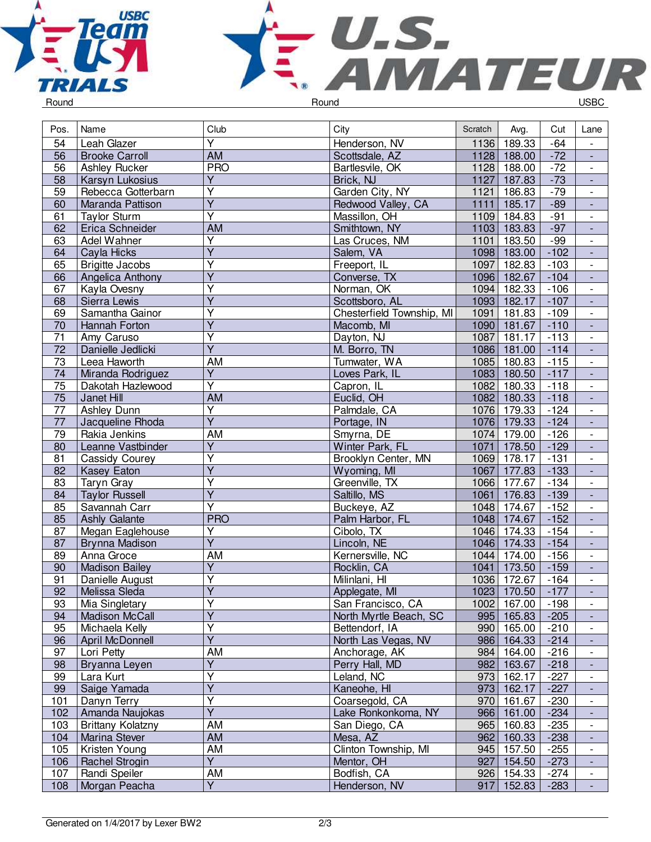



| Pos.            | Name                          | Club                    | City                               | Scratch      | Avg.                | Cut              | Lane                                       |
|-----------------|-------------------------------|-------------------------|------------------------------------|--------------|---------------------|------------------|--------------------------------------------|
| 54              | Leah Glazer                   | $\overline{\mathsf{Y}}$ | Henderson, NV                      | 1136         | 189.33              | $-64$            | $\frac{1}{2}$                              |
| 56              | <b>Brooke Carroll</b>         | <b>AM</b>               | Scottsdale, AZ                     |              | 1128 188.00         | $-72$            | $\overline{\phantom{a}}$                   |
| 56              | <b>Ashley Rucker</b>          | <b>PRO</b>              | Bartlesvile, OK                    | 1128         | 188.00              | $-72$            | $\overline{\phantom{a}}$                   |
| 58              | Karsyn Lukosius               | $\overline{Y}$          | Brick, NJ                          | 1127         | 187.83              | $-73$            | $\blacksquare$                             |
| 59              | Rebecca Gotterbarn            | $\overline{Y}$          | Garden City, NY                    | 1121         | 186.83              | $-79$            | $\overline{\phantom{a}}$                   |
| 60              | Maranda Pattison              | $\overline{\mathsf{Y}}$ | Redwood Valley, CA                 | 1111         | 185.17              | $-89$            | ÷,                                         |
| 61              | <b>Taylor Sturm</b>           | $\overline{\mathsf{Y}}$ | Massillon, OH                      | 1109         | 184.83              | $-91$            | $\overline{\phantom{a}}$                   |
| 62              | Erica Schneider               | <b>AM</b>               | Smithtown, NY                      |              | 1103 183.83         | $-97$            | $\Box$                                     |
| 63              | <b>Adel Wahner</b>            | $\overline{\mathsf{Y}}$ | Las Cruces, NM                     | 1101         | 183.50              | $-99$            | $\overline{\phantom{a}}$                   |
| 64              | Cayla Hicks                   | $\overline{\mathsf{Y}}$ | Salem, VA                          |              | 1098 183.00         | $-102$           | ÷,                                         |
| 65              | <b>Brigitte Jacobs</b>        | Υ                       | Freeport, IL                       | 1097         | 182.83              | $-103$           | $\overline{\phantom{a}}$                   |
| 66              | Angelica Anthony              | $\overline{\mathsf{Y}}$ | Converse, TX                       |              | 1096 182.67         | $-104$           | $\overline{\phantom{a}}$                   |
| 67              | Kayla Ovesny                  | $\overline{\mathsf{Y}}$ | Norman, OK                         | 1094         | 182.33              | $-106$           | $\overline{\phantom{a}}$                   |
| 68              | Sierra Lewis                  | $\overline{Y}$          | Scottsboro, AL                     | 1093         | 182.17              | $-107$           |                                            |
| 69              | Samantha Gainor               | $\overline{\mathsf{Y}}$ | Chesterfield Township, MI          | 1091         | 181.83              | $-109$           | $\overline{\phantom{a}}$                   |
| 70              | Hannah Forton                 | $\overline{Y}$          | Macomb, MI                         | 1090         | 181.67              | $-110$           | ÷,                                         |
| 71              | Amy Caruso                    | $\overline{\mathsf{Y}}$ | Dayton, NJ                         | 1087         | 181.17              | $-113$           | $\overline{\phantom{a}}$                   |
| $\overline{72}$ | Danielle Jedlicki             | $\overline{\mathsf{Y}}$ | M. Borro, TN                       | 1086         | 181.00              | $-114$           | $\Box$                                     |
| $\overline{73}$ | Leea Haworth                  | <b>AM</b>               | Tumwater, WA                       | 1085         | 180.83              | $-115$           | $\overline{\phantom{a}}$                   |
| 74              | Miranda Rodriguez             | $\overline{Y}$          | Loves Park, IL                     |              | 1083 180.50         | $-117$           | ÷,                                         |
| 75              | Dakotah Hazlewood             | $\overline{\mathsf{Y}}$ | Capron, IL                         | 1082         | 180.33              | $-118$           | $\overline{\phantom{a}}$                   |
| 75              | Janet Hill                    | <b>AM</b>               | Euclid, OH                         |              | 1082 180.33         | $-118$           | $\overline{\phantom{a}}$                   |
| $\overline{77}$ | <b>Ashley Dunn</b>            | $\overline{\mathsf{Y}}$ | Palmdale, CA                       | 1076         | 179.33              | $-124$           | $\overline{\phantom{a}}$                   |
| $77\,$          | Jacqueline Rhoda              | $\overline{Y}$          | Portage, IN                        | 1076         | 179.33              | $-124$           | $\overline{\phantom{a}}$                   |
| 79              | Rakia Jenkins                 | <b>AM</b>               | Smyrna, DE                         | 1074         | 179.00              | $-126$           | $\overline{\phantom{a}}$                   |
| 80              | Leanne Vastbinder             | $\overline{\mathsf{Y}}$ | Winter Park, FL                    | 1071         | 178.50              | $-129$           | $\Box$                                     |
| 81              |                               | Y                       |                                    | 1069         |                     | $-131$           |                                            |
| 82              | Cassidy Courey<br>Kasey Eaton | $\overline{Y}$          | Brooklyn Center, MN<br>Wyoming, MI | 1067         | 178.17<br>177.83    | $-133$           | $\overline{\phantom{a}}$<br>$\blacksquare$ |
| 83              |                               | $\overline{\mathsf{Y}}$ | Greenville, TX                     | 1066         | 177.67              | $-134$           | $\overline{\phantom{a}}$                   |
|                 | Taryn Gray                    | $\overline{Y}$          | Saltillo, MS                       |              | 176.83              |                  | ÷,                                         |
| 84              | <b>Taylor Russell</b>         | $\overline{\mathsf{Y}}$ |                                    | 1061<br>1048 | $\overline{174.67}$ | $-139$<br>$-152$ |                                            |
| 85              | Savannah Carr                 |                         | Buckeye, AZ                        |              |                     |                  | $\overline{\phantom{a}}$                   |
| 85              | <b>Ashly Galante</b>          | <b>PRO</b><br>Υ         | Palm Harbor, FL                    | 1048         | 174.67              | $-152$           | $\overline{\phantom{a}}$                   |
| 87              | Megan Eaglehouse              | $\overline{Y}$          | Cibolo, TX                         | 1046         | 174.33              | $-154$           | $\overline{\phantom{a}}$                   |
| 87              | Brynna Madison                |                         | Lincoln, NE                        | 1046         | 174.33              | $-154$           | $\overline{\phantom{a}}$                   |
| 89              | Anna Groce                    | AM<br>$\overline{Y}$    | Kernersville, NC                   | 1044         | 174.00              | $-156$           | $\blacksquare$                             |
| 90              | <b>Madison Bailey</b>         |                         | Rocklin, CA                        | 1041         | 173.50              | $-159$           | ÷,                                         |
| 91              | Danielle August               | Y                       | Milinlani, HI                      | 1036         | 172.67              | $-164$           | $\overline{\phantom{a}}$                   |
| $\overline{92}$ | Melissa Sleda                 | $\overline{\mathsf{Y}}$ | Applegate, MI                      |              | 1023 170.50         | $-177$           |                                            |
| 93              | Mia Singletary                | Υ                       | San Francisco, CA                  |              | 1002 167.00         | $-198$           | $\overline{\phantom{0}}$                   |
| 94              | <b>Madison McCall</b>         | Y                       | North Myrtle Beach, SC             |              | 995 165.83          | $-205$           | $\overline{\phantom{a}}$                   |
| 95              | Michaela Kelly                | Υ                       | Bettendorf, IA                     |              | 990 165.00          | $-210$           | $\overline{\phantom{a}}$                   |
| 96              | April McDonnell               | Y                       | North Las Vegas, NV                |              | 986 164.33          | $-214$           |                                            |
| 97              | Lori Petty                    | AM                      | Anchorage, AK                      |              | 984 164.00          | $-216$           | $\overline{\phantom{0}}$                   |
| 98              | Bryanna Leyen                 | $\overline{Y}$          | Perry Hall, MD                     |              | 982 163.67          | $-218$           |                                            |
| 99              | Lara Kurt                     | Y                       | Leland, NC                         |              | 973 162.17          | $-227$           | $\overline{\phantom{a}}$                   |
| 99              | Saige Yamada                  | $\overline{\mathsf{Y}}$ | Kaneohe, HI                        |              | 973 162.17          | $-227$           |                                            |
| 101             | Danyn Terry                   | Υ                       | Coarsegold, CA                     | 970          | 161.67              | $-230$           |                                            |
| 102             | Amanda Naujokas               | $\overline{Y}$          | Lake Ronkonkoma, NY                |              | 966 161.00          | $-234$           | ÷,                                         |
| 103             | <b>Brittany Kolatzny</b>      | AM                      | San Diego, CA                      | 965          | 160.83              | $-235$           | $\overline{\phantom{a}}$                   |
| 104             | Marina Stever                 | AM                      | Mesa, AZ                           | 962          | 160.33              | $-238$           | $\overline{\phantom{a}}$                   |
| 105             | Kristen Young                 | AM                      | Clinton Township, MI               | 945          | 157.50              | $-255$           | $\overline{\phantom{a}}$                   |
| 106             | Rachel Strogin                | Y                       | Mentor, OH                         |              | 927 154.50          | $-273$           | $\overline{\phantom{a}}$                   |
| 107             | Randi Speiler                 | AM                      | Bodfish, CA                        |              | 926 154.33          | $-274$           | $\overline{\phantom{a}}$                   |
| 108             | Morgan Peacha                 | $\overline{Y}$          | Henderson, NV                      | 917          | 152.83              | $-283$           | $\blacksquare$                             |